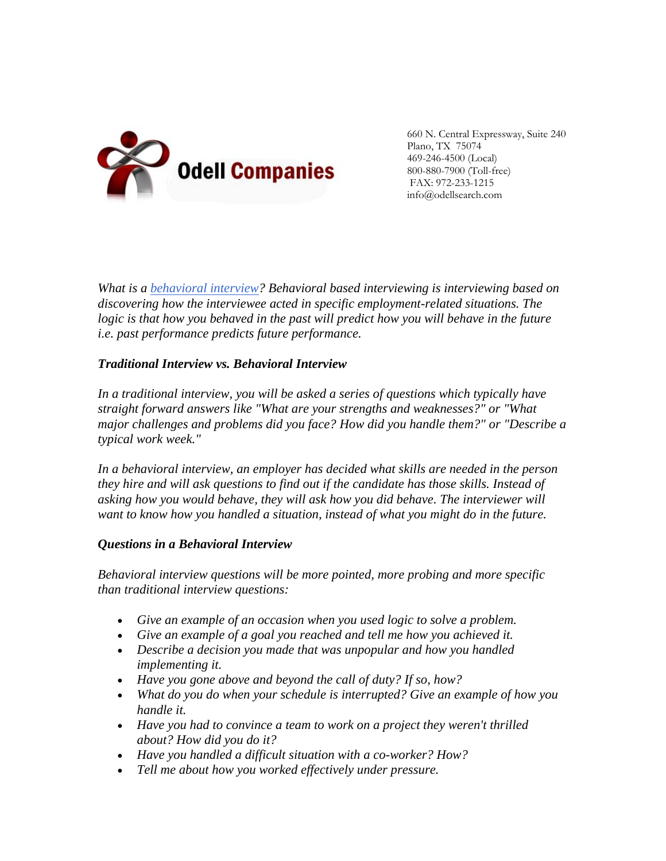

660 N. Central Expressway, Suite 240 Plano, TX 75074 469-246-4500 (Local) 800-880-7900 (Toll-free) FAX: 972-233-1215 info@odellsearch.com

*What is a [behavioral interview?](http://jobsearch.about.com/od/jobsearchglossary/g/behavinterview.htm) Behavioral based interviewing is interviewing based on discovering how the interviewee acted in specific employment-related situations. The logic is that how you behaved in the past will predict how you will behave in the future i.e. past performance predicts future performance.* 

#### *Traditional Interview vs. Behavioral Interview*

*In a traditional interview, you will be asked a series of questions which typically have straight forward answers like "What are your strengths and weaknesses?" or "What major challenges and problems did you face? How did you handle them?" or "Describe a typical work week."* 

*In a behavioral interview, an employer has decided what skills are needed in the person they hire and will ask questions to find out if the candidate has those skills. Instead of asking how you would behave, they will ask how you did behave. The interviewer will*  want to know how you handled a situation, instead of what you might do in the future.

#### *Questions in a Behavioral Interview*

*Behavioral interview questions will be more pointed, more probing and more specific than traditional interview questions:* 

- *Give an example of an occasion when you used logic to solve a problem.*
- *Give an example of a goal you reached and tell me how you achieved it.*
- *Describe a decision you made that was unpopular and how you handled implementing it.*
- *Have you gone above and beyond the call of duty? If so, how?*
- *What do you do when your schedule is interrupted? Give an example of how you handle it.*
- *Have you had to convince a team to work on a project they weren't thrilled about? How did you do it?*
- *Have you handled a difficult situation with a co-worker? How?*
- *Tell me about how you worked effectively under pressure.*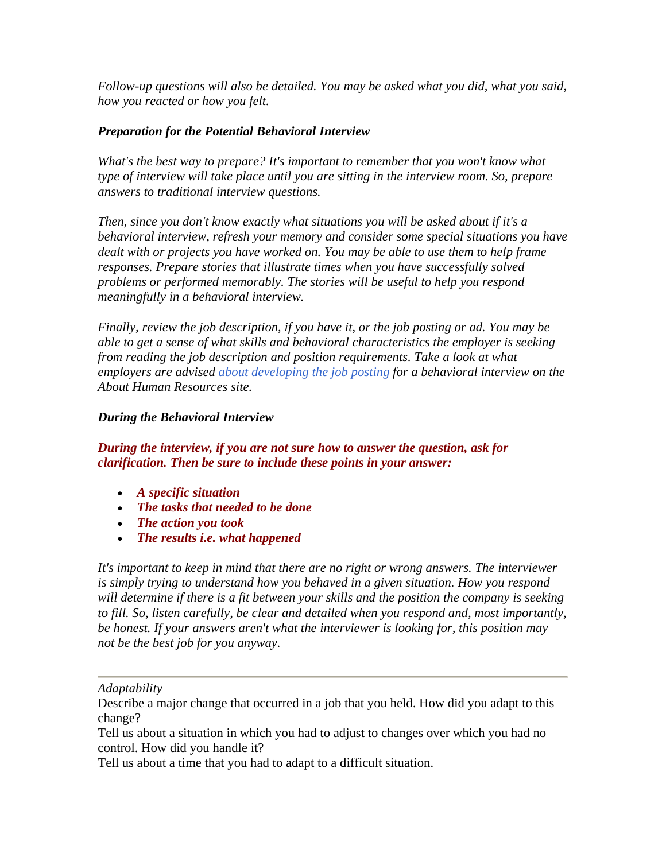*Follow-up questions will also be detailed. You may be asked what you did, what you said, how you reacted or how you felt.* 

### *Preparation for the Potential Behavioral Interview*

*What's the best way to prepare? It's important to remember that you won't know what type of interview will take place until you are sitting in the interview room. So, prepare answers to traditional interview questions.* 

*Then, since you don't know exactly what situations you will be asked about if it's a behavioral interview, refresh your memory and consider some special situations you have dealt with or projects you have worked on. You may be able to use them to help frame responses. Prepare stories that illustrate times when you have successfully solved problems or performed memorably. The stories will be useful to help you respond meaningfully in a behavioral interview.* 

*Finally, review the job description, if you have it, or the job posting or ad. You may be able to get a sense of what skills and behavioral characteristics the employer is seeking from reading the job description and position requirements. Take a look at what employers are advised [about developing the job posting](http://humanresources.about.com/od/interviewing/a/behavior_interv_2.htm) for a behavioral interview on the About Human Resources site.* 

### *During the Behavioral Interview*

*During the interview, if you are not sure how to answer the question, ask for clarification. Then be sure to include these points in your answer:*

- *A specific situation*
- *The tasks that needed to be done*
- *The action you took*
- *The results i.e. what happened*

*It's important to keep in mind that there are no right or wrong answers. The interviewer is simply trying to understand how you behaved in a given situation. How you respond will determine if there is a fit between your skills and the position the company is seeking to fill. So, listen carefully, be clear and detailed when you respond and, most importantly, be honest. If your answers aren't what the interviewer is looking for, this position may not be the best job for you anyway.* 

#### *Adaptability*

Describe a major change that occurred in a job that you held. How did you adapt to this change?

Tell us about a situation in which you had to adjust to changes over which you had no control. How did you handle it?

Tell us about a time that you had to adapt to a difficult situation.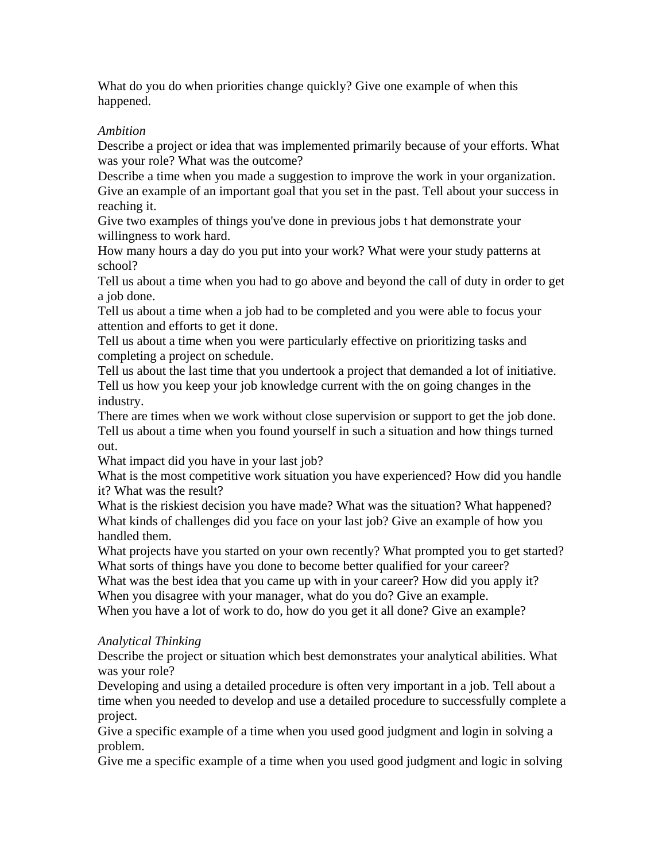What do you do when priorities change quickly? Give one example of when this happened.

## *Ambition*

Describe a project or idea that was implemented primarily because of your efforts. What was your role? What was the outcome?

Describe a time when you made a suggestion to improve the work in your organization. Give an example of an important goal that you set in the past. Tell about your success in reaching it.

Give two examples of things you've done in previous jobs t hat demonstrate your willingness to work hard.

How many hours a day do you put into your work? What were your study patterns at school?

Tell us about a time when you had to go above and beyond the call of duty in order to get a job done.

Tell us about a time when a job had to be completed and you were able to focus your attention and efforts to get it done.

Tell us about a time when you were particularly effective on prioritizing tasks and completing a project on schedule.

Tell us about the last time that you undertook a project that demanded a lot of initiative. Tell us how you keep your job knowledge current with the on going changes in the industry.

There are times when we work without close supervision or support to get the job done. Tell us about a time when you found yourself in such a situation and how things turned out.

What impact did you have in your last job?

What is the most competitive work situation you have experienced? How did you handle it? What was the result?

What is the riskiest decision you have made? What was the situation? What happened? What kinds of challenges did you face on your last job? Give an example of how you handled them.

What projects have you started on your own recently? What prompted you to get started? What sorts of things have you done to become better qualified for your career?

What was the best idea that you came up with in your career? How did you apply it? When you disagree with your manager, what do you do? Give an example.

When you have a lot of work to do, how do you get it all done? Give an example?

## *Analytical Thinking*

Describe the project or situation which best demonstrates your analytical abilities. What was your role?

Developing and using a detailed procedure is often very important in a job. Tell about a time when you needed to develop and use a detailed procedure to successfully complete a project.

Give a specific example of a time when you used good judgment and login in solving a problem.

Give me a specific example of a time when you used good judgment and logic in solving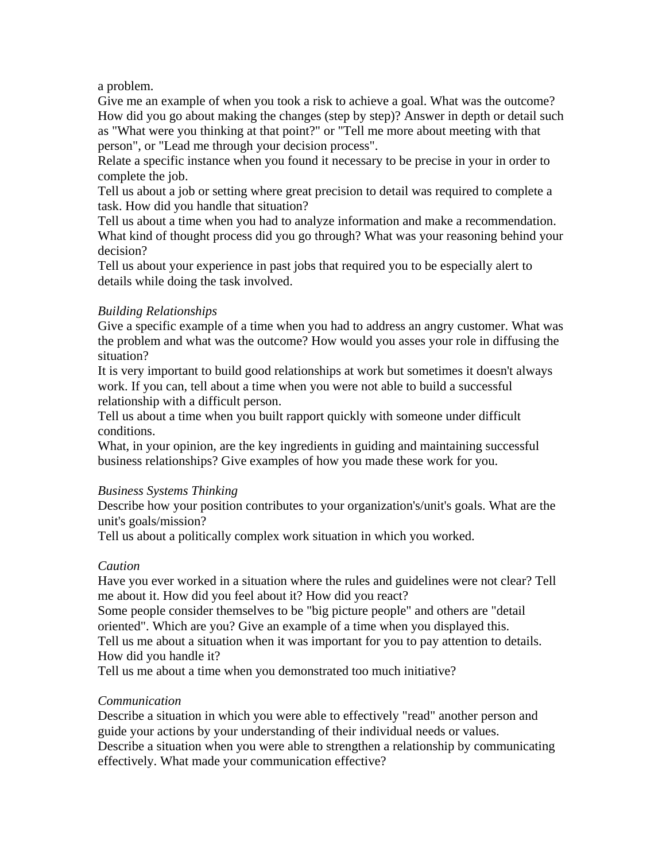#### a problem.

Give me an example of when you took a risk to achieve a goal. What was the outcome? How did you go about making the changes (step by step)? Answer in depth or detail such as "What were you thinking at that point?" or "Tell me more about meeting with that person", or "Lead me through your decision process".

Relate a specific instance when you found it necessary to be precise in your in order to complete the job.

Tell us about a job or setting where great precision to detail was required to complete a task. How did you handle that situation?

Tell us about a time when you had to analyze information and make a recommendation. What kind of thought process did you go through? What was your reasoning behind your decision?

Tell us about your experience in past jobs that required you to be especially alert to details while doing the task involved.

## *Building Relationships*

Give a specific example of a time when you had to address an angry customer. What was the problem and what was the outcome? How would you asses your role in diffusing the situation?

It is very important to build good relationships at work but sometimes it doesn't always work. If you can, tell about a time when you were not able to build a successful relationship with a difficult person.

Tell us about a time when you built rapport quickly with someone under difficult conditions.

What, in your opinion, are the key ingredients in guiding and maintaining successful business relationships? Give examples of how you made these work for you.

## *Business Systems Thinking*

Describe how your position contributes to your organization's/unit's goals. What are the unit's goals/mission?

Tell us about a politically complex work situation in which you worked.

## *Caution*

Have you ever worked in a situation where the rules and guidelines were not clear? Tell me about it. How did you feel about it? How did you react?

Some people consider themselves to be "big picture people" and others are "detail oriented". Which are you? Give an example of a time when you displayed this.

Tell us me about a situation when it was important for you to pay attention to details. How did you handle it?

Tell us me about a time when you demonstrated too much initiative?

## *Communication*

Describe a situation in which you were able to effectively "read" another person and guide your actions by your understanding of their individual needs or values. Describe a situation when you were able to strengthen a relationship by communicating effectively. What made your communication effective?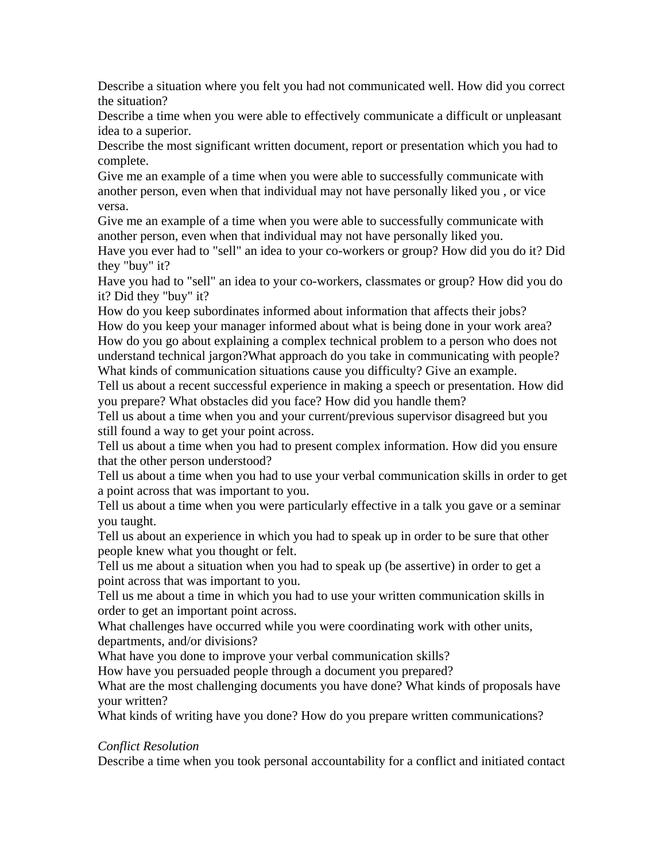Describe a situation where you felt you had not communicated well. How did you correct the situation?

Describe a time when you were able to effectively communicate a difficult or unpleasant idea to a superior.

Describe the most significant written document, report or presentation which you had to complete.

Give me an example of a time when you were able to successfully communicate with another person, even when that individual may not have personally liked you , or vice versa.

Give me an example of a time when you were able to successfully communicate with another person, even when that individual may not have personally liked you.

Have you ever had to "sell" an idea to your co-workers or group? How did you do it? Did they "buy" it?

Have you had to "sell" an idea to your co-workers, classmates or group? How did you do it? Did they "buy" it?

How do you keep subordinates informed about information that affects their jobs? How do you keep your manager informed about what is being done in your work area? How do you go about explaining a complex technical problem to a person who does not understand technical jargon?What approach do you take in communicating with people? What kinds of communication situations cause you difficulty? Give an example.

Tell us about a recent successful experience in making a speech or presentation. How did you prepare? What obstacles did you face? How did you handle them?

Tell us about a time when you and your current/previous supervisor disagreed but you still found a way to get your point across.

Tell us about a time when you had to present complex information. How did you ensure that the other person understood?

Tell us about a time when you had to use your verbal communication skills in order to get a point across that was important to you.

Tell us about a time when you were particularly effective in a talk you gave or a seminar you taught.

Tell us about an experience in which you had to speak up in order to be sure that other people knew what you thought or felt.

Tell us me about a situation when you had to speak up (be assertive) in order to get a point across that was important to you.

Tell us me about a time in which you had to use your written communication skills in order to get an important point across.

What challenges have occurred while you were coordinating work with other units, departments, and/or divisions?

What have you done to improve your verbal communication skills?

How have you persuaded people through a document you prepared?

What are the most challenging documents you have done? What kinds of proposals have your written?

What kinds of writing have you done? How do you prepare written communications?

## *Conflict Resolution*

Describe a time when you took personal accountability for a conflict and initiated contact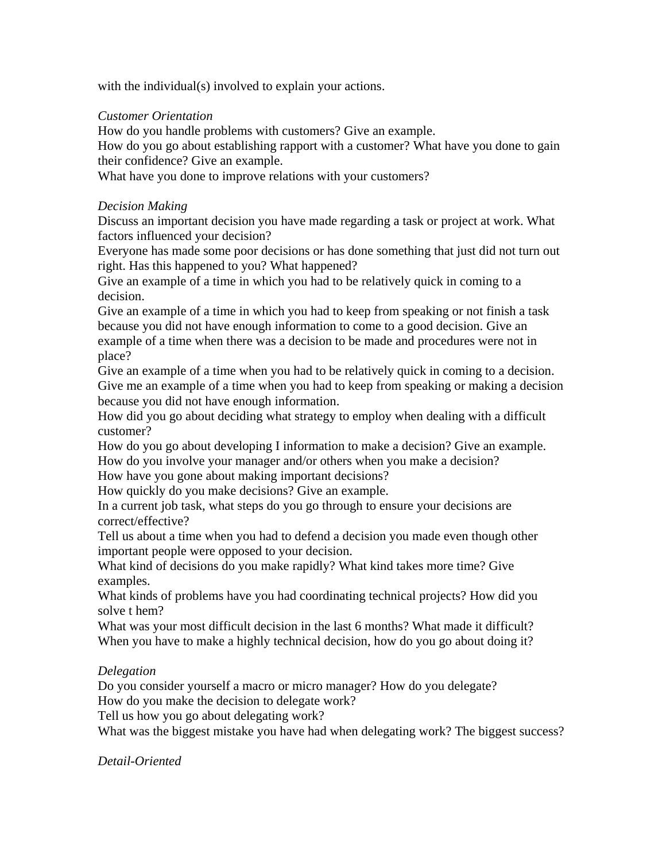with the individual(s) involved to explain your actions.

### *Customer Orientation*

How do you handle problems with customers? Give an example.

How do you go about establishing rapport with a customer? What have you done to gain their confidence? Give an example.

What have you done to improve relations with your customers?

### *Decision Making*

Discuss an important decision you have made regarding a task or project at work. What factors influenced your decision?

Everyone has made some poor decisions or has done something that just did not turn out right. Has this happened to you? What happened?

Give an example of a time in which you had to be relatively quick in coming to a decision.

Give an example of a time in which you had to keep from speaking or not finish a task because you did not have enough information to come to a good decision. Give an example of a time when there was a decision to be made and procedures were not in place?

Give an example of a time when you had to be relatively quick in coming to a decision. Give me an example of a time when you had to keep from speaking or making a decision because you did not have enough information.

How did you go about deciding what strategy to employ when dealing with a difficult customer?

How do you go about developing I information to make a decision? Give an example. How do you involve your manager and/or others when you make a decision?

How have you gone about making important decisions?

How quickly do you make decisions? Give an example.

In a current job task, what steps do you go through to ensure your decisions are correct/effective?

Tell us about a time when you had to defend a decision you made even though other important people were opposed to your decision.

What kind of decisions do you make rapidly? What kind takes more time? Give examples.

What kinds of problems have you had coordinating technical projects? How did you solve t hem?

What was your most difficult decision in the last 6 months? What made it difficult? When you have to make a highly technical decision, how do you go about doing it?

## *Delegation*

Do you consider yourself a macro or micro manager? How do you delegate? How do you make the decision to delegate work?

Tell us how you go about delegating work?

What was the biggest mistake you have had when delegating work? The biggest success?

## *Detail-Oriented*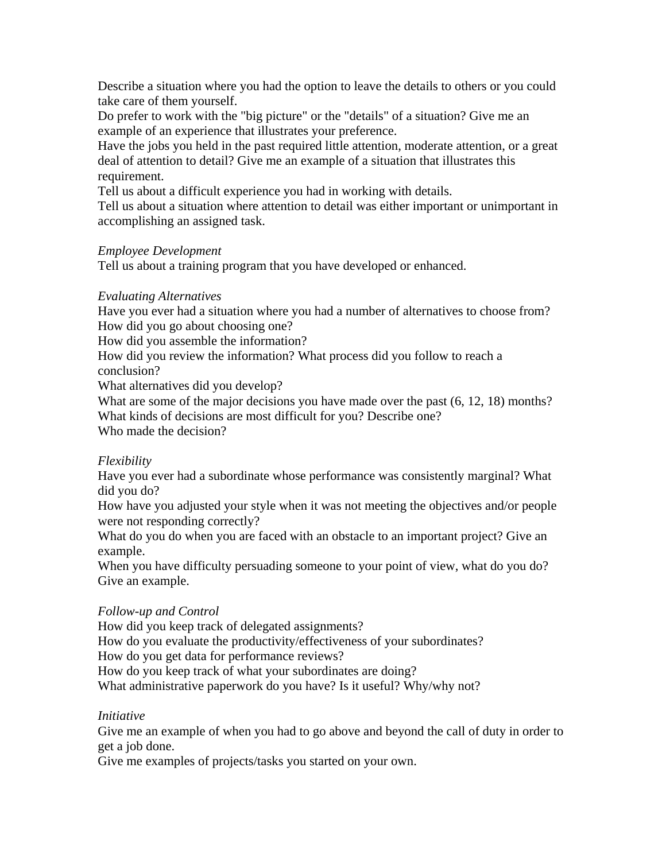Describe a situation where you had the option to leave the details to others or you could take care of them yourself.

Do prefer to work with the "big picture" or the "details" of a situation? Give me an example of an experience that illustrates your preference.

Have the jobs you held in the past required little attention, moderate attention, or a great deal of attention to detail? Give me an example of a situation that illustrates this requirement.

Tell us about a difficult experience you had in working with details.

Tell us about a situation where attention to detail was either important or unimportant in accomplishing an assigned task.

### *Employee Development*

Tell us about a training program that you have developed or enhanced.

### *Evaluating Alternatives*

Have you ever had a situation where you had a number of alternatives to choose from? How did you go about choosing one?

How did you assemble the information?

How did you review the information? What process did you follow to reach a conclusion?

What alternatives did you develop?

What are some of the major decisions you have made over the past  $(6, 12, 18)$  months? What kinds of decisions are most difficult for you? Describe one?

Who made the decision?

## *Flexibility*

Have you ever had a subordinate whose performance was consistently marginal? What did you do?

How have you adjusted your style when it was not meeting the objectives and/or people were not responding correctly?

What do you do when you are faced with an obstacle to an important project? Give an example.

When you have difficulty persuading someone to your point of view, what do you do? Give an example.

#### *Follow-up and Control*

How did you keep track of delegated assignments? How do you evaluate the productivity/effectiveness of your subordinates? How do you get data for performance reviews? How do you keep track of what your subordinates are doing? What administrative paperwork do you have? Is it useful? Why/why not?

#### *Initiative*

Give me an example of when you had to go above and beyond the call of duty in order to get a job done.

Give me examples of projects/tasks you started on your own.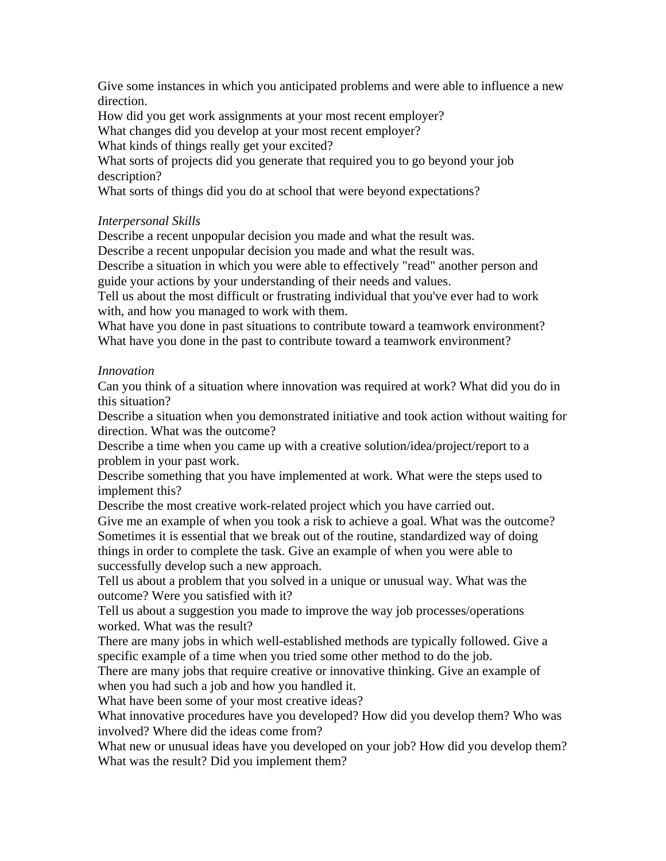Give some instances in which you anticipated problems and were able to influence a new direction.

How did you get work assignments at your most recent employer?

What changes did you develop at your most recent employer?

What kinds of things really get your excited?

What sorts of projects did you generate that required you to go beyond your job description?

What sorts of things did you do at school that were beyond expectations?

### *Interpersonal Skills*

Describe a recent unpopular decision you made and what the result was.

Describe a recent unpopular decision you made and what the result was.

Describe a situation in which you were able to effectively "read" another person and guide your actions by your understanding of their needs and values.

Tell us about the most difficult or frustrating individual that you've ever had to work with, and how you managed to work with them.

What have you done in past situations to contribute toward a teamwork environment? What have you done in the past to contribute toward a teamwork environment?

### *Innovation*

Can you think of a situation where innovation was required at work? What did you do in this situation?

Describe a situation when you demonstrated initiative and took action without waiting for direction. What was the outcome?

Describe a time when you came up with a creative solution/idea/project/report to a problem in your past work.

Describe something that you have implemented at work. What were the steps used to implement this?

Describe the most creative work-related project which you have carried out.

Give me an example of when you took a risk to achieve a goal. What was the outcome? Sometimes it is essential that we break out of the routine, standardized way of doing things in order to complete the task. Give an example of when you were able to successfully develop such a new approach.

Tell us about a problem that you solved in a unique or unusual way. What was the outcome? Were you satisfied with it?

Tell us about a suggestion you made to improve the way job processes/operations worked. What was the result?

There are many jobs in which well-established methods are typically followed. Give a specific example of a time when you tried some other method to do the job.

There are many jobs that require creative or innovative thinking. Give an example of when you had such a job and how you handled it.

What have been some of your most creative ideas?

What innovative procedures have you developed? How did you develop them? Who was involved? Where did the ideas come from?

What new or unusual ideas have you developed on your job? How did you develop them? What was the result? Did you implement them?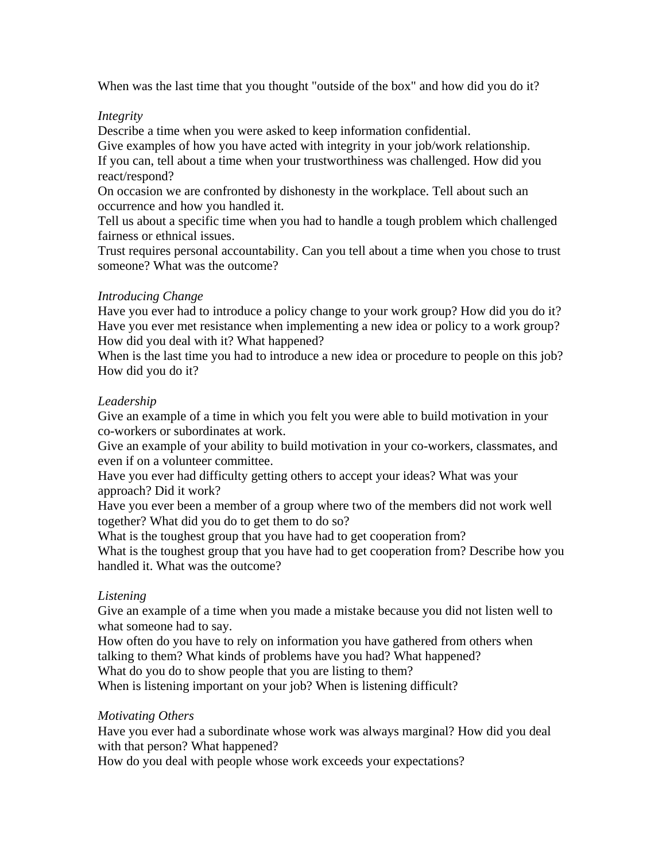When was the last time that you thought "outside of the box" and how did you do it?

#### *Integrity*

Describe a time when you were asked to keep information confidential.

Give examples of how you have acted with integrity in your job/work relationship.

If you can, tell about a time when your trustworthiness was challenged. How did you react/respond?

On occasion we are confronted by dishonesty in the workplace. Tell about such an occurrence and how you handled it.

Tell us about a specific time when you had to handle a tough problem which challenged fairness or ethnical issues.

Trust requires personal accountability. Can you tell about a time when you chose to trust someone? What was the outcome?

## *Introducing Change*

Have you ever had to introduce a policy change to your work group? How did you do it? Have you ever met resistance when implementing a new idea or policy to a work group? How did you deal with it? What happened?

When is the last time you had to introduce a new idea or procedure to people on this job? How did you do it?

# *Leadership*

Give an example of a time in which you felt you were able to build motivation in your co-workers or subordinates at work.

Give an example of your ability to build motivation in your co-workers, classmates, and even if on a volunteer committee.

Have you ever had difficulty getting others to accept your ideas? What was your approach? Did it work?

Have you ever been a member of a group where two of the members did not work well together? What did you do to get them to do so?

What is the toughest group that you have had to get cooperation from?

What is the toughest group that you have had to get cooperation from? Describe how you handled it. What was the outcome?

## *Listening*

Give an example of a time when you made a mistake because you did not listen well to what someone had to say.

How often do you have to rely on information you have gathered from others when talking to them? What kinds of problems have you had? What happened? What do you do to show people that you are listing to them?

When is listening important on your job? When is listening difficult?

## *Motivating Others*

Have you ever had a subordinate whose work was always marginal? How did you deal with that person? What happened?

How do you deal with people whose work exceeds your expectations?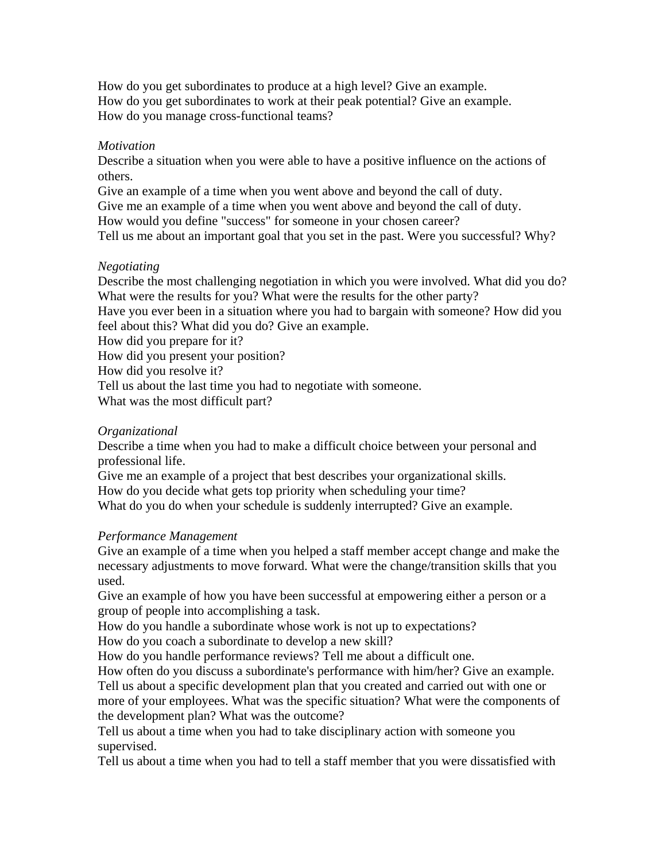How do you get subordinates to produce at a high level? Give an example. How do you get subordinates to work at their peak potential? Give an example. How do you manage cross-functional teams?

### *Motivation*

Describe a situation when you were able to have a positive influence on the actions of others.

Give an example of a time when you went above and beyond the call of duty. Give me an example of a time when you went above and beyond the call of duty. How would you define "success" for someone in your chosen career? Tell us me about an important goal that you set in the past. Were you successful? Why?

### *Negotiating*

Describe the most challenging negotiation in which you were involved. What did you do? What were the results for you? What were the results for the other party?

Have you ever been in a situation where you had to bargain with someone? How did you feel about this? What did you do? Give an example.

How did you prepare for it?

How did you present your position?

How did you resolve it?

Tell us about the last time you had to negotiate with someone.

What was the most difficult part?

### *Organizational*

Describe a time when you had to make a difficult choice between your personal and professional life.

Give me an example of a project that best describes your organizational skills. How do you decide what gets top priority when scheduling your time?

What do you do when your schedule is suddenly interrupted? Give an example.

## *Performance Management*

Give an example of a time when you helped a staff member accept change and make the necessary adjustments to move forward. What were the change/transition skills that you used.

Give an example of how you have been successful at empowering either a person or a group of people into accomplishing a task.

How do you handle a subordinate whose work is not up to expectations?

How do you coach a subordinate to develop a new skill?

How do you handle performance reviews? Tell me about a difficult one.

How often do you discuss a subordinate's performance with him/her? Give an example.

Tell us about a specific development plan that you created and carried out with one or more of your employees. What was the specific situation? What were the components of the development plan? What was the outcome?

Tell us about a time when you had to take disciplinary action with someone you supervised.

Tell us about a time when you had to tell a staff member that you were dissatisfied with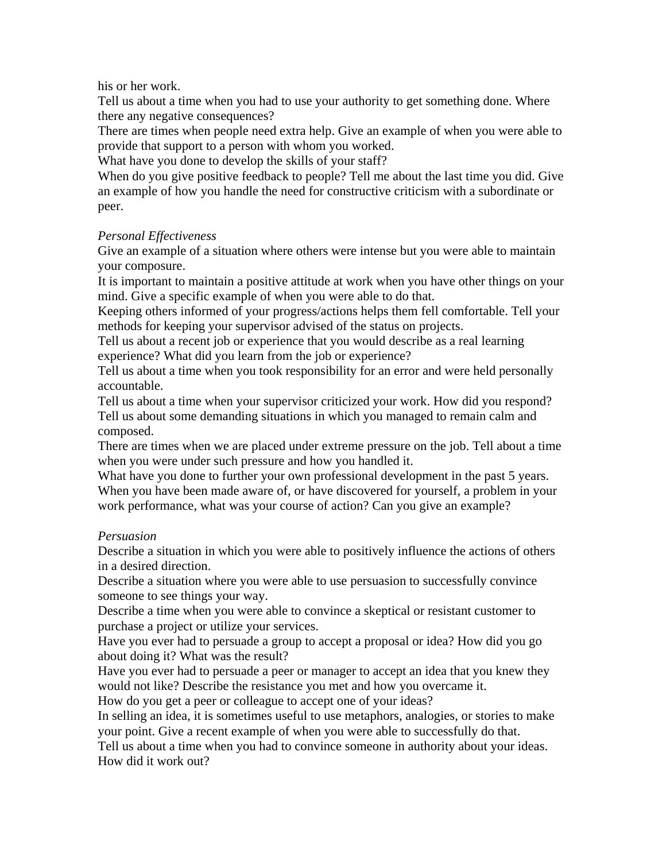his or her work.

Tell us about a time when you had to use your authority to get something done. Where there any negative consequences?

There are times when people need extra help. Give an example of when you were able to provide that support to a person with whom you worked.

What have you done to develop the skills of your staff?

When do you give positive feedback to people? Tell me about the last time you did. Give an example of how you handle the need for constructive criticism with a subordinate or peer.

## *Personal Effectiveness*

Give an example of a situation where others were intense but you were able to maintain your composure.

It is important to maintain a positive attitude at work when you have other things on your mind. Give a specific example of when you were able to do that.

Keeping others informed of your progress/actions helps them fell comfortable. Tell your methods for keeping your supervisor advised of the status on projects.

Tell us about a recent job or experience that you would describe as a real learning experience? What did you learn from the job or experience?

Tell us about a time when you took responsibility for an error and were held personally accountable.

Tell us about a time when your supervisor criticized your work. How did you respond? Tell us about some demanding situations in which you managed to remain calm and composed.

There are times when we are placed under extreme pressure on the job. Tell about a time when you were under such pressure and how you handled it.

What have you done to further your own professional development in the past 5 years. When you have been made aware of, or have discovered for yourself, a problem in your work performance, what was your course of action? Can you give an example?

## *Persuasion*

Describe a situation in which you were able to positively influence the actions of others in a desired direction.

Describe a situation where you were able to use persuasion to successfully convince someone to see things your way.

Describe a time when you were able to convince a skeptical or resistant customer to purchase a project or utilize your services.

Have you ever had to persuade a group to accept a proposal or idea? How did you go about doing it? What was the result?

Have you ever had to persuade a peer or manager to accept an idea that you knew they would not like? Describe the resistance you met and how you overcame it.

How do you get a peer or colleague to accept one of your ideas?

In selling an idea, it is sometimes useful to use metaphors, analogies, or stories to make your point. Give a recent example of when you were able to successfully do that.

Tell us about a time when you had to convince someone in authority about your ideas. How did it work out?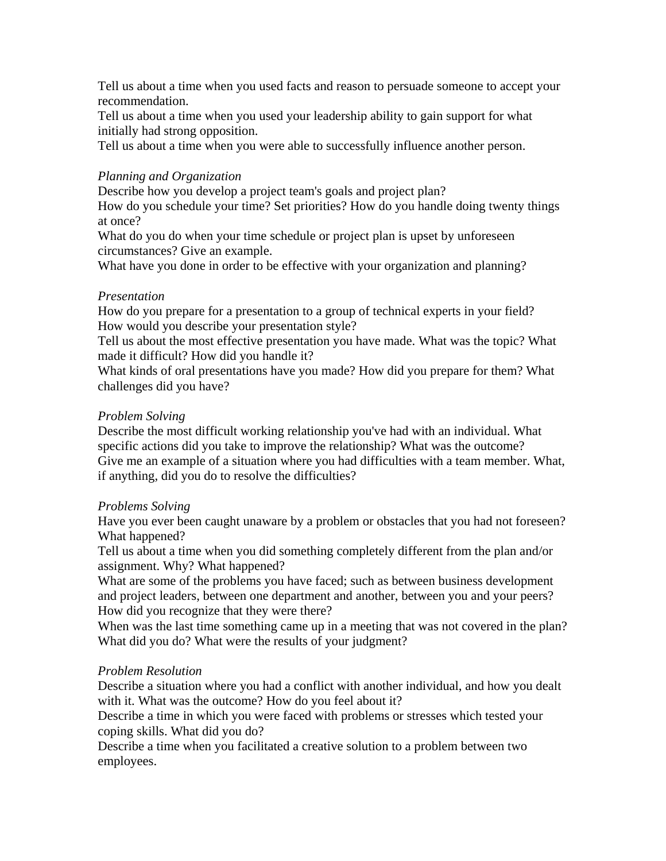Tell us about a time when you used facts and reason to persuade someone to accept your recommendation.

Tell us about a time when you used your leadership ability to gain support for what initially had strong opposition.

Tell us about a time when you were able to successfully influence another person.

## *Planning and Organization*

Describe how you develop a project team's goals and project plan?

How do you schedule your time? Set priorities? How do you handle doing twenty things at once?

What do you do when your time schedule or project plan is upset by unforeseen circumstances? Give an example.

What have you done in order to be effective with your organization and planning?

### *Presentation*

How do you prepare for a presentation to a group of technical experts in your field? How would you describe your presentation style?

Tell us about the most effective presentation you have made. What was the topic? What made it difficult? How did you handle it?

What kinds of oral presentations have you made? How did you prepare for them? What challenges did you have?

### *Problem Solving*

Describe the most difficult working relationship you've had with an individual. What specific actions did you take to improve the relationship? What was the outcome? Give me an example of a situation where you had difficulties with a team member. What, if anything, did you do to resolve the difficulties?

## *Problems Solving*

Have you ever been caught unaware by a problem or obstacles that you had not foreseen? What happened?

Tell us about a time when you did something completely different from the plan and/or assignment. Why? What happened?

What are some of the problems you have faced; such as between business development and project leaders, between one department and another, between you and your peers? How did you recognize that they were there?

When was the last time something came up in a meeting that was not covered in the plan? What did you do? What were the results of your judgment?

## *Problem Resolution*

Describe a situation where you had a conflict with another individual, and how you dealt with it. What was the outcome? How do you feel about it?

Describe a time in which you were faced with problems or stresses which tested your coping skills. What did you do?

Describe a time when you facilitated a creative solution to a problem between two employees.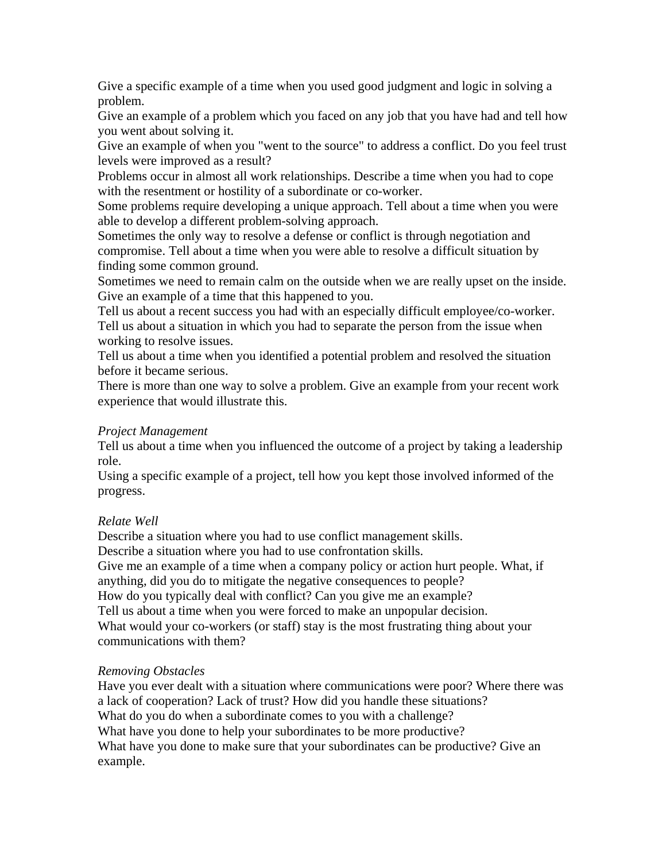Give a specific example of a time when you used good judgment and logic in solving a problem.

Give an example of a problem which you faced on any job that you have had and tell how you went about solving it.

Give an example of when you "went to the source" to address a conflict. Do you feel trust levels were improved as a result?

Problems occur in almost all work relationships. Describe a time when you had to cope with the resentment or hostility of a subordinate or co-worker.

Some problems require developing a unique approach. Tell about a time when you were able to develop a different problem-solving approach.

Sometimes the only way to resolve a defense or conflict is through negotiation and compromise. Tell about a time when you were able to resolve a difficult situation by finding some common ground.

Sometimes we need to remain calm on the outside when we are really upset on the inside. Give an example of a time that this happened to you.

Tell us about a recent success you had with an especially difficult employee/co-worker. Tell us about a situation in which you had to separate the person from the issue when working to resolve issues.

Tell us about a time when you identified a potential problem and resolved the situation before it became serious.

There is more than one way to solve a problem. Give an example from your recent work experience that would illustrate this.

### *Project Management*

Tell us about a time when you influenced the outcome of a project by taking a leadership role.

Using a specific example of a project, tell how you kept those involved informed of the progress.

## *Relate Well*

Describe a situation where you had to use conflict management skills. Describe a situation where you had to use confrontation skills.

Give me an example of a time when a company policy or action hurt people. What, if anything, did you do to mitigate the negative consequences to people?

How do you typically deal with conflict? Can you give me an example?

Tell us about a time when you were forced to make an unpopular decision.

What would your co-workers (or staff) stay is the most frustrating thing about your communications with them?

## *Removing Obstacles*

Have you ever dealt with a situation where communications were poor? Where there was a lack of cooperation? Lack of trust? How did you handle these situations? What do you do when a subordinate comes to you with a challenge? What have you done to help your subordinates to be more productive? What have you done to make sure that your subordinates can be productive? Give an example.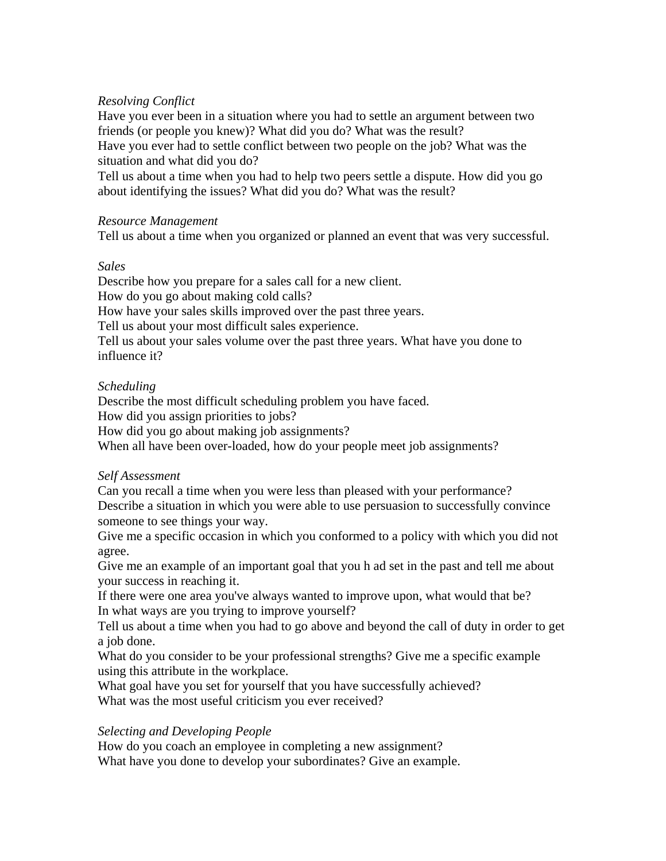### *Resolving Conflict*

Have you ever been in a situation where you had to settle an argument between two friends (or people you knew)? What did you do? What was the result?

Have you ever had to settle conflict between two people on the job? What was the situation and what did you do?

Tell us about a time when you had to help two peers settle a dispute. How did you go about identifying the issues? What did you do? What was the result?

#### *Resource Management*

Tell us about a time when you organized or planned an event that was very successful.

### *Sales*

Describe how you prepare for a sales call for a new client. How do you go about making cold calls? How have your sales skills improved over the past three years.

Tell us about your most difficult sales experience.

Tell us about your sales volume over the past three years. What have you done to influence it?

### *Scheduling*

Describe the most difficult scheduling problem you have faced.

How did you assign priorities to jobs?

How did you go about making job assignments?

When all have been over-loaded, how do your people meet job assignments?

## *Self Assessment*

Can you recall a time when you were less than pleased with your performance? Describe a situation in which you were able to use persuasion to successfully convince someone to see things your way.

Give me a specific occasion in which you conformed to a policy with which you did not agree.

Give me an example of an important goal that you h ad set in the past and tell me about your success in reaching it.

If there were one area you've always wanted to improve upon, what would that be? In what ways are you trying to improve yourself?

Tell us about a time when you had to go above and beyond the call of duty in order to get a job done.

What do you consider to be your professional strengths? Give me a specific example using this attribute in the workplace.

What goal have you set for yourself that you have successfully achieved? What was the most useful criticism you ever received?

## *Selecting and Developing People*

How do you coach an employee in completing a new assignment? What have you done to develop your subordinates? Give an example.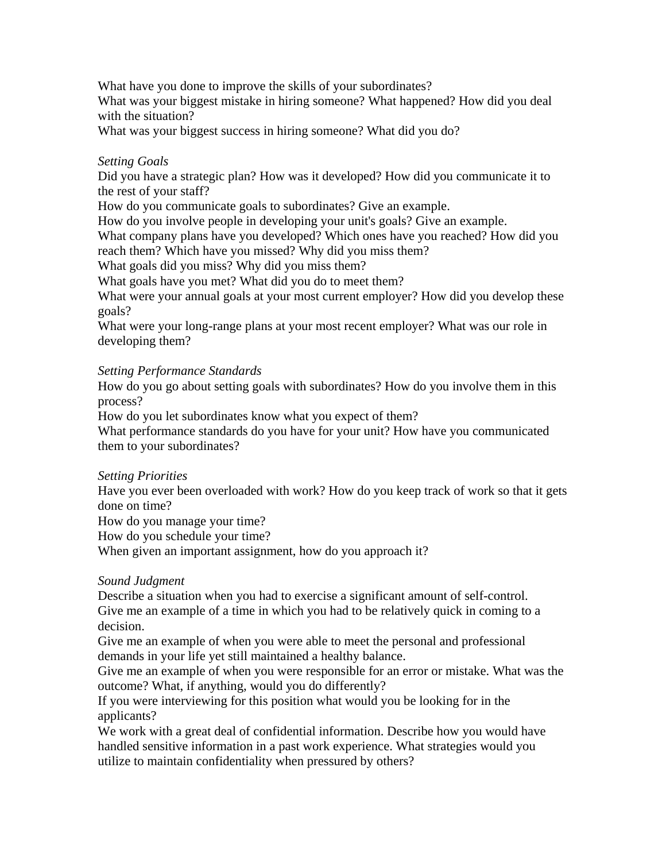What have you done to improve the skills of your subordinates?

What was your biggest mistake in hiring someone? What happened? How did you deal with the situation?

What was your biggest success in hiring someone? What did you do?

### *Setting Goals*

Did you have a strategic plan? How was it developed? How did you communicate it to the rest of your staff?

How do you communicate goals to subordinates? Give an example.

How do you involve people in developing your unit's goals? Give an example.

What company plans have you developed? Which ones have you reached? How did you reach them? Which have you missed? Why did you miss them?

What goals did you miss? Why did you miss them?

What goals have you met? What did you do to meet them?

What were your annual goals at your most current employer? How did you develop these goals?

What were your long-range plans at your most recent employer? What was our role in developing them?

### *Setting Performance Standards*

How do you go about setting goals with subordinates? How do you involve them in this process?

How do you let subordinates know what you expect of them?

What performance standards do you have for your unit? How have you communicated them to your subordinates?

## *Setting Priorities*

Have you ever been overloaded with work? How do you keep track of work so that it gets done on time?

How do you manage your time?

How do you schedule your time?

When given an important assignment, how do you approach it?

## *Sound Judgment*

Describe a situation when you had to exercise a significant amount of self-control. Give me an example of a time in which you had to be relatively quick in coming to a decision.

Give me an example of when you were able to meet the personal and professional demands in your life yet still maintained a healthy balance.

Give me an example of when you were responsible for an error or mistake. What was the outcome? What, if anything, would you do differently?

If you were interviewing for this position what would you be looking for in the applicants?

We work with a great deal of confidential information. Describe how you would have handled sensitive information in a past work experience. What strategies would you utilize to maintain confidentiality when pressured by others?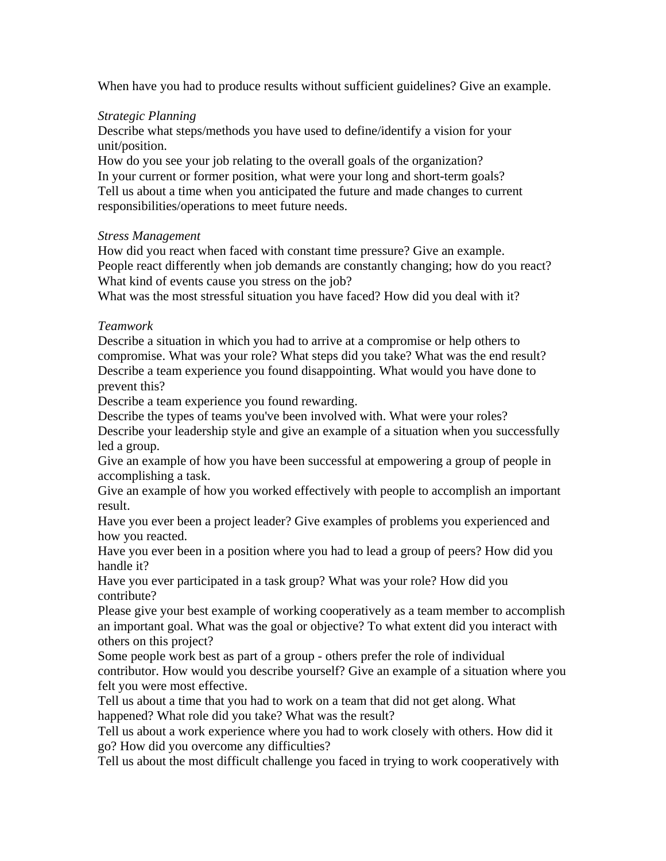When have you had to produce results without sufficient guidelines? Give an example.

#### *Strategic Planning*

Describe what steps/methods you have used to define/identify a vision for your unit/position.

How do you see your job relating to the overall goals of the organization? In your current or former position, what were your long and short-term goals? Tell us about a time when you anticipated the future and made changes to current responsibilities/operations to meet future needs.

#### *Stress Management*

How did you react when faced with constant time pressure? Give an example. People react differently when job demands are constantly changing; how do you react? What kind of events cause you stress on the job?

What was the most stressful situation you have faced? How did you deal with it?

### *Teamwork*

Describe a situation in which you had to arrive at a compromise or help others to compromise. What was your role? What steps did you take? What was the end result? Describe a team experience you found disappointing. What would you have done to prevent this?

Describe a team experience you found rewarding.

Describe the types of teams you've been involved with. What were your roles?

Describe your leadership style and give an example of a situation when you successfully led a group.

Give an example of how you have been successful at empowering a group of people in accomplishing a task.

Give an example of how you worked effectively with people to accomplish an important result.

Have you ever been a project leader? Give examples of problems you experienced and how you reacted.

Have you ever been in a position where you had to lead a group of peers? How did you handle it?

Have you ever participated in a task group? What was your role? How did you contribute?

Please give your best example of working cooperatively as a team member to accomplish an important goal. What was the goal or objective? To what extent did you interact with others on this project?

Some people work best as part of a group - others prefer the role of individual contributor. How would you describe yourself? Give an example of a situation where you felt you were most effective.

Tell us about a time that you had to work on a team that did not get along. What happened? What role did you take? What was the result?

Tell us about a work experience where you had to work closely with others. How did it go? How did you overcome any difficulties?

Tell us about the most difficult challenge you faced in trying to work cooperatively with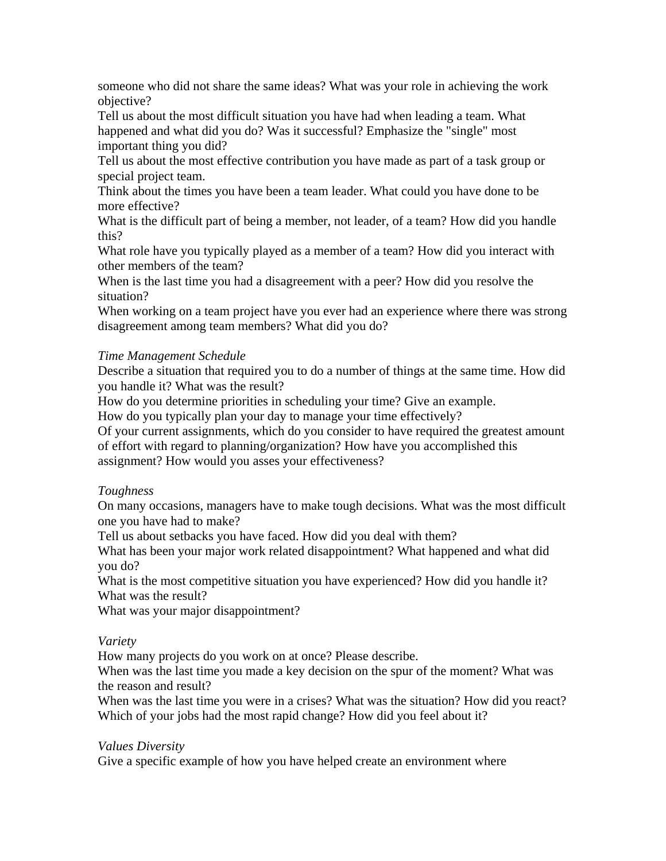someone who did not share the same ideas? What was your role in achieving the work objective?

Tell us about the most difficult situation you have had when leading a team. What happened and what did you do? Was it successful? Emphasize the "single" most important thing you did?

Tell us about the most effective contribution you have made as part of a task group or special project team.

Think about the times you have been a team leader. What could you have done to be more effective?

What is the difficult part of being a member, not leader, of a team? How did you handle this?

What role have you typically played as a member of a team? How did you interact with other members of the team?

When is the last time you had a disagreement with a peer? How did you resolve the situation?

When working on a team project have you ever had an experience where there was strong disagreement among team members? What did you do?

### *Time Management Schedule*

Describe a situation that required you to do a number of things at the same time. How did you handle it? What was the result?

How do you determine priorities in scheduling your time? Give an example.

How do you typically plan your day to manage your time effectively?

Of your current assignments, which do you consider to have required the greatest amount of effort with regard to planning/organization? How have you accomplished this assignment? How would you asses your effectiveness?

#### *Toughness*

On many occasions, managers have to make tough decisions. What was the most difficult one you have had to make?

Tell us about setbacks you have faced. How did you deal with them?

What has been your major work related disappointment? What happened and what did you do?

What is the most competitive situation you have experienced? How did you handle it? What was the result?

What was your major disappointment?

#### *Variety*

How many projects do you work on at once? Please describe.

When was the last time you made a key decision on the spur of the moment? What was the reason and result?

When was the last time you were in a crises? What was the situation? How did you react? Which of your jobs had the most rapid change? How did you feel about it?

## *Values Diversity*

Give a specific example of how you have helped create an environment where